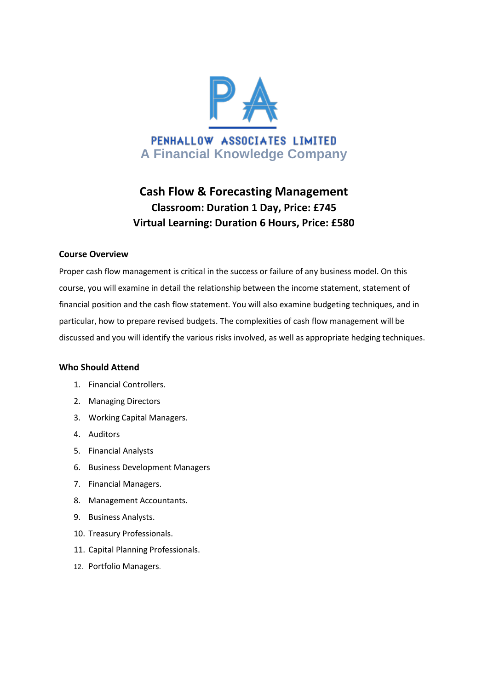

# **Cash Flow & Forecasting Management Classroom: Duration 1 Day, Price: £745 Virtual Learning: Duration 6 Hours, Price: £580**

# **Course Overview**

Proper cash flow management is critical in the success or failure of any business model. On this course, you will examine in detail the relationship between the income statement, statement of financial position and the cash flow statement. You will also examine budgeting techniques, and in particular, how to prepare revised budgets. The complexities of cash flow management will be discussed and you will identify the various risks involved, as well as appropriate hedging techniques.

#### **Who Should Attend**

- 1. Financial Controllers.
- 2. Managing Directors
- 3. Working Capital Managers.
- 4. Auditors
- 5. Financial Analysts
- 6. Business Development Managers
- 7. Financial Managers.
- 8. Management Accountants.
- 9. Business Analysts.
- 10. Treasury Professionals.
- 11. Capital Planning Professionals.
- 12. Portfolio Managers.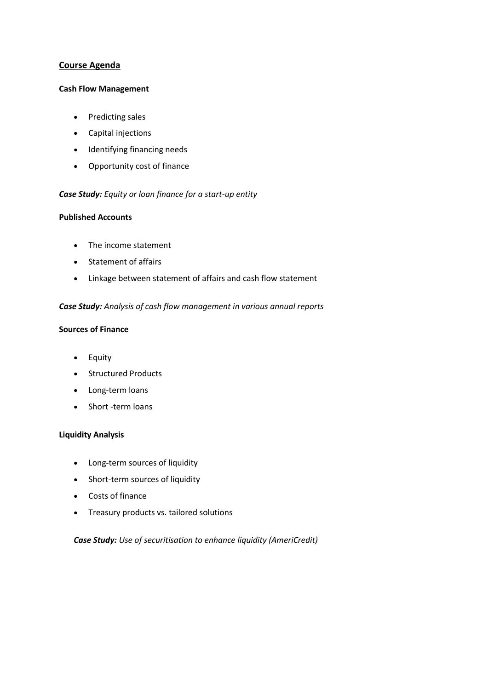# **Course Agenda**

#### **Cash Flow Management**

- Predicting sales
- Capital injections
- Identifying financing needs
- Opportunity cost of finance

# *Case Study: Equity or loan finance for a start-up entity*

# **Published Accounts**

- The income statement
- Statement of affairs
- Linkage between statement of affairs and cash flow statement

# *Case Study: Analysis of cash flow management in various annual reports*

# **Sources of Finance**

- Equity
- Structured Products
- Long-term loans
- Short -term loans

#### **Liquidity Analysis**

- Long-term sources of liquidity
- Short-term sources of liquidity
- Costs of finance
- Treasury products vs. tailored solutions

# *Case Study: Use of securitisation to enhance liquidity (AmeriCredit)*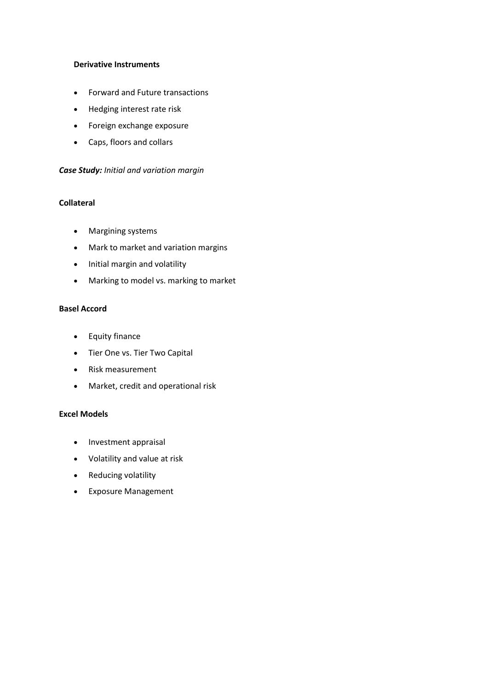#### **Derivative Instruments**

- Forward and Future transactions
- Hedging interest rate risk
- Foreign exchange exposure
- Caps, floors and collars

#### *Case Study: Initial and variation margin*

# **Collateral**

- Margining systems
- Mark to market and variation margins
- Initial margin and volatility
- Marking to model vs. marking to market

# **Basel Accord**

- **•** Equity finance
- Tier One vs. Tier Two Capital
- Risk measurement
- Market, credit and operational risk

#### **Excel Models**

- Investment appraisal
- Volatility and value at risk
- Reducing volatility
- Exposure Management